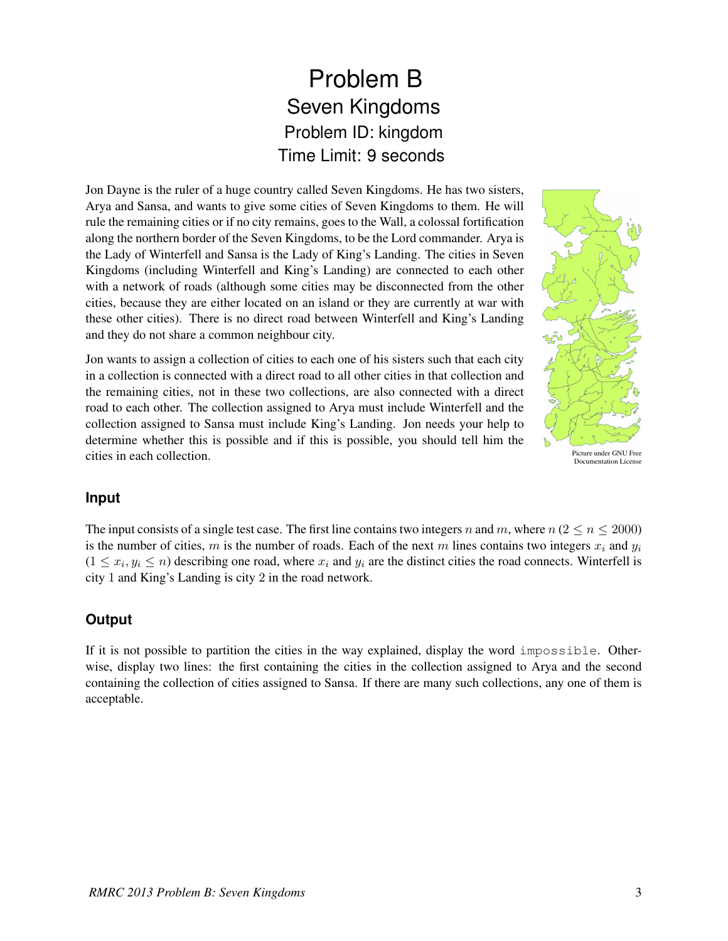## Problem B Seven Kingdoms Problem ID: kingdom Time Limit: 9 seconds

Jon Dayne is the ruler of a huge country called Seven Kingdoms. He has two sisters, Arya and Sansa, and wants to give some cities of Seven Kingdoms to them. He will rule the remaining cities or if no city remains, goes to the Wall, a colossal fortification along the northern border of the Seven Kingdoms, to be the Lord commander. Arya is the Lady of Winterfell and Sansa is the Lady of King's Landing. The cities in Seven Kingdoms (including Winterfell and King's Landing) are connected to each other with a network of roads (although some cities may be disconnected from the other cities, because they are either located on an island or they are currently at war with these other cities). There is no direct road between Winterfell and King's Landing and they do not share a common neighbour city.

Jon wants to assign a collection of cities to each one of his sisters such that each city in a collection is connected with a direct road to all other cities in that collection and the remaining cities, not in these two collections, are also connected with a direct road to each other. The collection assigned to Arya must include Winterfell and the collection assigned to Sansa must include King's Landing. Jon needs your help to determine whether this is possible and if this is possible, you should tell him the cities in each collection.



Documentation Licens

## **Input**

The input consists of a single test case. The first line contains two integers n and m, where  $n (2 \le n \le 2000)$ is the number of cities, m is the number of roads. Each of the next m lines contains two integers  $x_i$  and  $y_i$  $(1 \le x_i, y_i \le n)$  describing one road, where  $x_i$  and  $y_i$  are the distinct cities the road connects. Winterfell is city 1 and King's Landing is city 2 in the road network.

## **Output**

If it is not possible to partition the cities in the way explained, display the word impossible. Otherwise, display two lines: the first containing the cities in the collection assigned to Arya and the second containing the collection of cities assigned to Sansa. If there are many such collections, any one of them is acceptable.